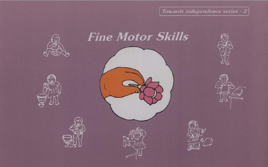Towards independence series -









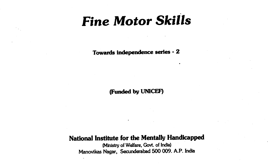# Fine Motor Skills

Towards independence series -2

(Funded by UNICEF)

National Institute for the Mentally Handicapped

(Ministry of Welfare, Govt. of India) Manovikas Nagar, Secunderabad 500 009. A.P. India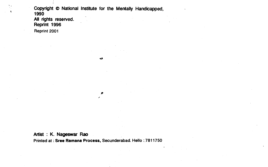Copyright © National Institute for the Mentally Handicapped, 1990 All rights reserved. Reprint 1996

 $p$  and  $p$  and  $p$ 

Reprint 2001

Artist : K. Nageswar Rao Printed at : Sree Ramana Process, Secunderabad. Hello : 7811750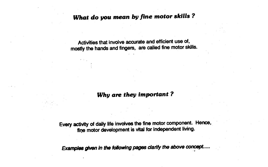## What do you mean by fine motor skills?

Activities that involve accurate and efficient use of, mostly the hands and fingers, are Called fine motor skills.

## Why are they important?

Every activity of daily life involves the fine motor component. Hence, tine motor development is vital for independent living.

Examples given in the following pages clarify the above concept.....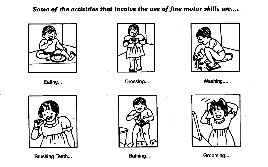## Some of the activities that involve the use of fine motor skills are...,





Eating... Dressing... Washing....





Brushing Teeth... **Bathing...** Bathing... **Bathing...** Grooming....



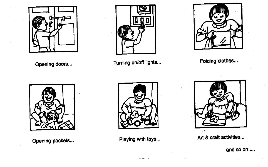





Opening doors... Turning on/off lights... Folding clothes...









Opening packets... **Playing with toys...** Art & craft activities...

and so on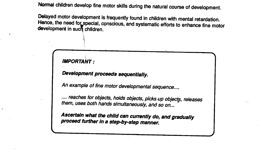Normal children develop fine motor skills during the natural course of development.

Delayed motor development is frequently found in children with mental retardation. Hence, the need for special, conscious, and systematic efforts to enhance fine motor development in such children.

**IMPORTANT:** 

Development proceeds sequentially.

An example of fine motor developmental sequence....

.... reaches for objects, holds objects, picks up objects, releases them, uses both hands simultaneously, and so on...

Ascertain what the child can currently do, and gradually proceed further in a step-by-step manner.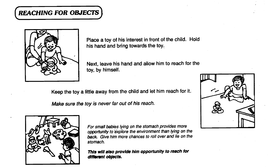# (REACHING FOR OBJECTS)



Place a toy of his interest in front of the child. Hold his hand and bring towards the toy.

Next, leave his hand and allow him to reach for the toy, by himself.

Keep the toy a little away from the child and let him reach for it.

Make sure the toy is never far out of his reach.



For small babies lying on the stomach provides more opportunity to explore the environment than lying on the back. Give him more chances to roll over and lie on the stomach.

This will also provide him opportunity to reach for different objects.

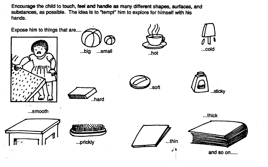Encourage the child to touch, feel and handle as many different shapes, surfaces, and substances, as possible. The idea is to "tempt" him to explore for himself with his hands.

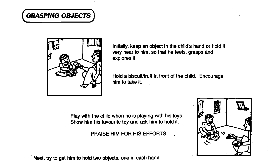# **GRASPING OBJECTS**



Initially, keep an object in the child's hand or hold it very near to him, so that he feels, grasps and explores it.

Hold a biscuit/fruit in front of the child. Encourage him to take it.

Play with the child when he is playing with his toys. Show him his favourite toy and ask him to hold it.

PRAISE HIM FOR HIS EFFORTS



Next, try to get him to hold two objects, one in each hand.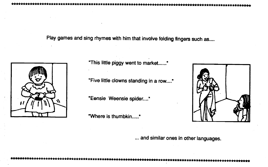Play games and sing rhymes with him that involve folding fingers such as....



"This little piggy went to market......"

"Five little clowns standing in a row...."

"Eensie Weensie spider...."

"Where is thumbkin....."



... and similar ones in other languages.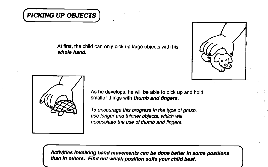## PICKING UP OBJECTS)

At first, the child can only pick up large objects with his whole hand.





As he develops, he will be able to pick up and hold smaller things with thumb and fingers.

To encourage this progress in the type of grasp, use longer and thinner objects, which will necessitate the use of thumb and fingers.

Activities involving hand movements can be done better in some positions<br>than in others. Find out which position suits your child best. Activities Involving hand movements can be done better In some positions than In others. Find out which position suits your child best.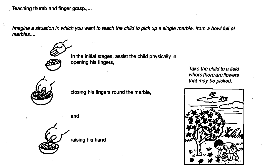Teaching thumb and finger grasp....

Imagine a situation in which you want to teach the child to pick up a single marble, from a bowl full of marbles....



In the initial stages, assist the child physically in opening his fingers,



closing his fingers round the marble,

and



Take the child to a field where there are flowers that may be picked.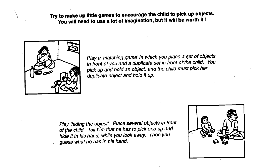Try to make up little games to encourage the child to pick up objects. You will need to use a lot of imagination, but it will be worth it !



Play a 'matching game' in which you place a set of objects in front of you and a duplicate set in front of the child. You pick up and hold an object, and the child must pick her duplicate object and hold it up.

Play 'hiding the object'. Place several objects in front of the child. Tell him that he has to pick one up and hide it in his hand, while you look away. Then you guess what he has in his hand.

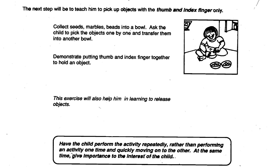The next step will be to teach him to pick up objects with the thumb and index finger only.

Collect seeds, marbles, beads into a bowl. Ask the child to pick the objects one by one and transfer them into another bowl.

Demonstrate putting thumb and index finger together to hold an object.



This exercise will also help him in learning to release objects.

time, give importance to the interest of the child. Have the child perform the activity repeatedly, rather than performing an activity one time and quickly moving on to the other. At-the same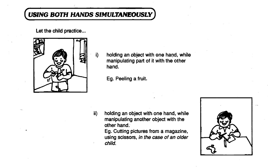## USING BOTH HANDS SIMULTANEOUSLY

Let the child practice...



 $\mathbf{I}$  i) holding an object with one hand, while manipulating part of it with the other hand.

Eg. Peeling a fruit.

ii) holding an object with one hand, while manipulating another object with the other hand;

> Eg. Cutting pictures from a magazine, using scissors, in the case of an older child.

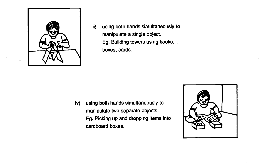

iii) using both hands simultaneously to manipulate a single object. Eg. Building towers using books, boxes, cards.

iv) using both hands simultaneously to manipulate two separate objects. Eg. Picking up and dropping items into cardboard boxes.

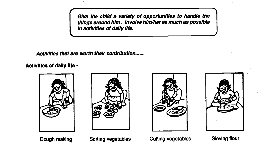Give the child a variety of opportunities to handle the things around him. Involve him/her as much as possible in activities of daily life.

Activities that are worth their contribution...

Activities of daily life -







Dough making Sorting vegetables Cutting vegetables Sieving flour

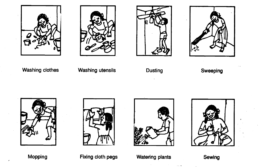







## Washing clothes Washing utensils

Dusting Sweeping









Mopping **Fixing cloth pegs** Watering plants

 $\sim 10^{-10}$ 

Sewing

 $\sim$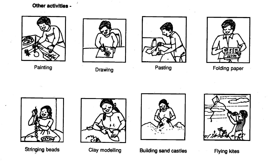## Other activities -









Painting Drawing Pasting Pasting Pasting Pasting Pasting Painting Paper







—1/2000

Stringing beads Clay modelling Building sand castles Flying kites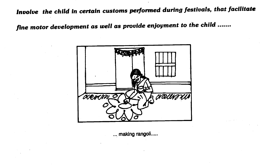Involve the child in certain customs performed during festivals, that facilitate

fine motor development as well as provide enjoyment to the child



... making rangoli.....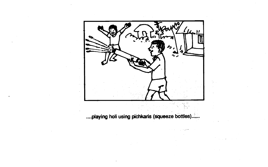

....playing holi using pichkaris (squeeze bottles).....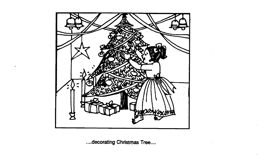

....decorating Christmas Tree....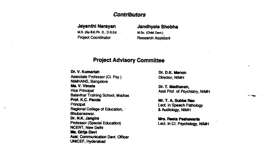### **Contributors**

#### Jayanthl Narayan Jandhyala Shobha

M.S. (Sp.Ed) Ph. D., D.S.Ed. M.Sc. (Child Devt.)<br>Project Coordinator Research Assis

# **Research Assistant**

### **Project Advisory Committee**

Dr. V. Kumartah Dr. D.K. Menon Associate Professor (Cl. Psy.) Director; NIMH<br>NIMHANS, Bangalore **Ms. V. Vimala**<br>
Vice Principal<br>
Vice Principal Balavihar Training School, Madras<br>**Prof. K.C. Panda** Prof. K.C. Panda Mr. T. A. Subba Rao<br>Principal Mr. T. A. Subba Rao Regional College of Education, Bhubaneswar. Dr. N.K. Jangira<br>Professor (Special Education) **Mrs. Reeta Peshawaria**<br>Lect. in Cl. Psychology 1 NCERT, New Delhi Ms. Girija Devl Asst. Communication Devt. Ofticer UNICEF, Hyderabad

Ŷ.

Asst.Prof. of Psychiatry, NIMH

Lect. in Speech Pathology<br>& Audiology, NIMH

Lect. in Cl. Psychology, NIMH